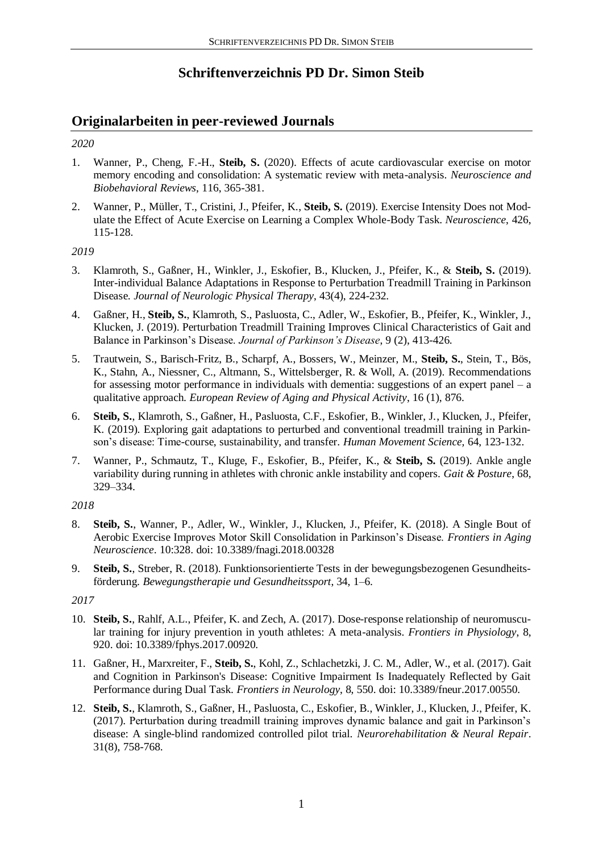# **Schriftenverzeichnis PD Dr. Simon Steib**

# **Originalarbeiten in peer-reviewed Journals**

## *2020*

- 1. Wanner, P., Cheng, F.-H., **Steib, S.** (2020). Effects of acute cardiovascular exercise on motor memory encoding and consolidation: A systematic review with meta-analysis. *Neuroscience and Biobehavioral Reviews*, 116, 365-381.
- 2. Wanner, P., Müller, T., Cristini, J., Pfeifer, K., **Steib, S.** (2019). Exercise Intensity Does not Modulate the Effect of Acute Exercise on Learning a Complex Whole-Body Task. *Neuroscience*, 426, 115-128.

#### *2019*

- 3. Klamroth, S., Gaßner, H., Winkler, J., Eskofier, B., Klucken, J., Pfeifer, K., & **Steib, S.** (2019). Inter-individual Balance Adaptations in Response to Perturbation Treadmill Training in Parkinson Disease. *Journal of Neurologic Physical Therapy*, 43(4), 224-232.
- 4. Gaßner, H., **Steib, S.**, Klamroth, S., Pasluosta, C., Adler, W., Eskofier, B., Pfeifer, K., Winkler, J., Klucken, J. (2019). Perturbation Treadmill Training Improves Clinical Characteristics of Gait and Balance in Parkinson's Disease. *Journal of Parkinson's Disease*, 9 (2), 413-426.
- 5. Trautwein, S., Barisch-Fritz, B., Scharpf, A., Bossers, W., Meinzer, M., **Steib, S.**, Stein, T., Bös, K., Stahn, A., Niessner, C., Altmann, S., Wittelsberger, R. & Woll, A. (2019). Recommendations for assessing motor performance in individuals with dementia: suggestions of an expert panel –  $a$ qualitative approach. *European Review of Aging and Physical Activity*, 16 (1), 876.
- 6. **Steib, S.**, Klamroth, S., Gaßner, H., Pasluosta, C.F., Eskofier, B., Winkler, J., Klucken, J., Pfeifer, K. (2019). Exploring gait adaptations to perturbed and conventional treadmill training in Parkinson's disease: Time-course, sustainability, and transfer. *Human Movement Science,* 64, 123-132.
- 7. Wanner, P., Schmautz, T., Kluge, F., Eskofier, B., Pfeifer, K., & **Steib, S.** (2019). Ankle angle variability during running in athletes with chronic ankle instability and copers. *Gait & Posture*, 68, 329–334.

## *2018*

- 8. **Steib, S.**, Wanner, P., Adler, W., Winkler, J., Klucken, J., Pfeifer, K. (2018). A Single Bout of Aerobic Exercise Improves Motor Skill Consolidation in Parkinson's Disease. *Frontiers in Aging Neuroscience*. 10:328. doi: 10.3389/fnagi.2018.00328
- 9. **Steib, S.**, Streber, R. (2018). Funktionsorientierte Tests in der bewegungsbezogenen Gesundheitsförderung. *Bewegungstherapie und Gesundheitssport*, 34, 1–6.

## *2017*

- 10. **Steib, S.**, Rahlf, A.L., Pfeifer, K. and Zech, A. (2017). Dose-response relationship of neuromuscular training for injury prevention in youth athletes: A meta-analysis. *Frontiers in Physiology*, 8, 920. doi: 10.3389/fphys.2017.00920.
- 11. Gaßner, H., Marxreiter, F., **Steib, S.**, Kohl, Z., Schlachetzki, J. C. M., Adler, W., et al. (2017). Gait and Cognition in Parkinson's Disease: Cognitive Impairment Is Inadequately Reflected by Gait Performance during Dual Task. *Frontiers in Neurology*, 8, 550. doi: 10.3389/fneur.2017.00550.
- 12. **Steib, S.**, Klamroth, S., Gaßner, H., Pasluosta, C., Eskofier, B., Winkler, J., Klucken, J., Pfeifer, K. (2017). Perturbation during treadmill training improves dynamic balance and gait in Parkinson's disease: A single-blind randomized controlled pilot trial. *Neurorehabilitation & Neural Repair*. 31(8), 758-768.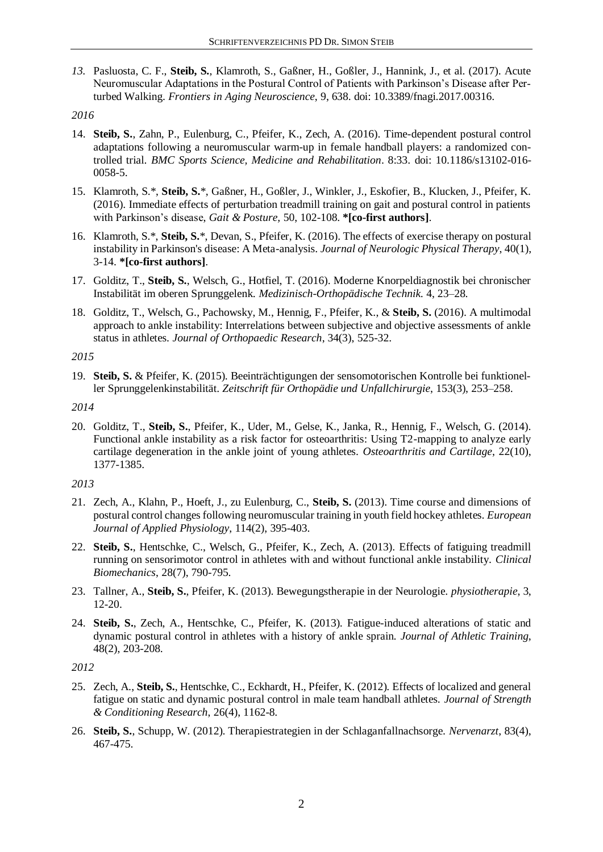*13.* Pasluosta, C. F., **Steib, S.**, Klamroth, S., Gaßner, H., Goßler, J., Hannink, J., et al. (2017). Acute Neuromuscular Adaptations in the Postural Control of Patients with Parkinson's Disease after Perturbed Walking. *Frontiers in Aging Neuroscience*, 9, 638. doi: 10.3389/fnagi.2017.00316.

#### *2016*

- 14. **Steib, S.**, Zahn, P., Eulenburg, C., Pfeifer, K., Zech, A. (2016). Time-dependent postural control adaptations following a neuromuscular warm-up in female handball players: a randomized controlled trial. *BMC Sports Science, Medicine and Rehabilitation*. 8:33. doi: 10.1186/s13102-016- 0058-5.
- 15. Klamroth, S.\*, **Steib, S.**\*, Gaßner, H., Goßler, J., Winkler, J., Eskofier, B., Klucken, J., Pfeifer, K. (2016). Immediate effects of perturbation treadmill training on gait and postural control in patients with Parkinson's disease, *Gait & Posture,* 50, 102-108. **\*[co-first authors]**.
- 16. Klamroth, S.\*, **Steib, S.**\*, Devan, S., Pfeifer, K. (2016). The effects of exercise therapy on postural instability in Parkinson's disease: A Meta-analysis. *Journal of Neurologic Physical Therapy*, 40(1), 3-14. **\*[co-first authors]**.
- 17. Golditz, T., **Steib, S.**, Welsch, G., Hotfiel, T. (2016). Moderne Knorpeldiagnostik bei chronischer Instabilität im oberen Sprunggelenk. *Medizinisch-Orthopädische Technik.* 4, 23–28.
- 18. Golditz, T., Welsch, G., Pachowsky, M., Hennig, F., Pfeifer, K., & **Steib, S.** (2016). A multimodal approach to ankle instability: Interrelations between subjective and objective assessments of ankle status in athletes. *Journal of Orthopaedic Research*, 34(3), 525-32.

#### *2015*

19. **Steib, S.** & Pfeifer, K. (2015). Beeinträchtigungen der sensomotorischen Kontrolle bei funktioneller Sprunggelenkinstabilität. *Zeitschrift für Orthopädie und Unfallchirurgie*, 153(3), 253–258.

*2014*

20. Golditz, T., **Steib, S.**, Pfeifer, K., Uder, M., Gelse, K., Janka, R., Hennig, F., Welsch, G. (2014). Functional ankle instability as a risk factor for osteoarthritis: Using T2-mapping to analyze early cartilage degeneration in the ankle joint of young athletes. *Osteoarthritis and Cartilage*, 22(10), 1377-1385.

## *2013*

- 21. Zech, A., Klahn, P., Hoeft, J., zu Eulenburg, C., **Steib, S.** (2013). Time course and dimensions of postural control changes following neuromuscular training in youth field hockey athletes. *European Journal of Applied Physiology*, 114(2), 395-403.
- 22. **Steib, S.**, Hentschke, C., Welsch, G., Pfeifer, K., Zech, A. (2013). Effects of fatiguing treadmill running on sensorimotor control in athletes with and without functional ankle instability. *Clinical Biomechanics*, 28(7), 790-795.
- 23. Tallner, A., **Steib, S.**, Pfeifer, K. (2013). Bewegungstherapie in der Neurologie. *physiotherapie*, 3, 12-20.
- 24. **Steib, S.**, Zech, A., Hentschke, C., Pfeifer, K. (2013). Fatigue-induced alterations of static and dynamic postural control in athletes with a history of ankle sprain. *Journal of Athletic Training*, 48(2), 203-208.

*2012*

- 25. Zech, A., **Steib, S.**, Hentschke, C., Eckhardt, H., Pfeifer, K. (2012). Effects of localized and general fatigue on static and dynamic postural control in male team handball athletes. *Journal of Strength & Conditioning Research*, 26(4), 1162-8.
- 26. **Steib, S.**, Schupp, W. (2012). Therapiestrategien in der Schlaganfallnachsorge. *Nervenarzt*, 83(4), 467-475.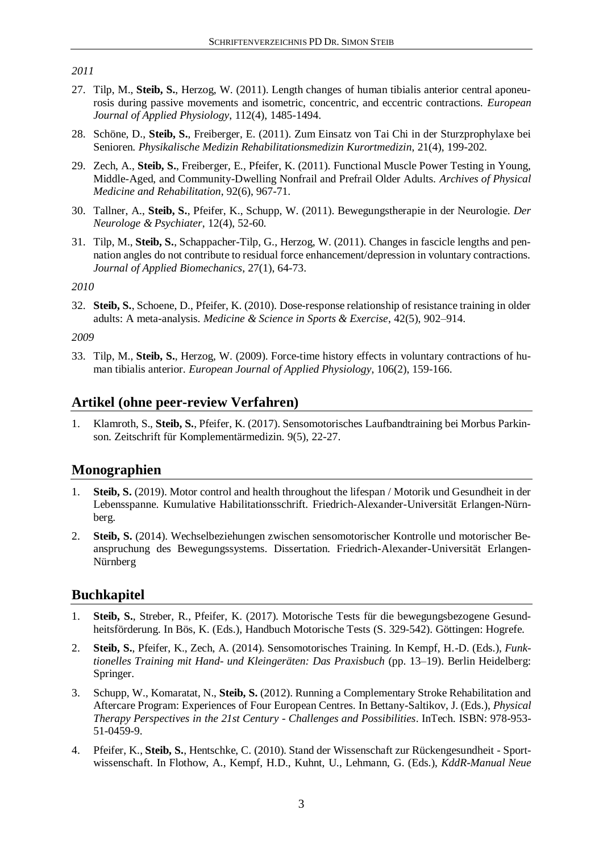*2011*

- 27. Tilp, M., **Steib, S.**, Herzog, W. (2011). Length changes of human tibialis anterior central aponeurosis during passive movements and isometric, concentric, and eccentric contractions. *European Journal of Applied Physiology*, 112(4), 1485-1494.
- 28. Schöne, D., **Steib, S.**, Freiberger, E. (2011). Zum Einsatz von Tai Chi in der Sturzprophylaxe bei Senioren. *Physikalische Medizin Rehabilitationsmedizin Kurortmedizin*, 21(4), 199-202.
- 29. Zech, A., **Steib, S.**, Freiberger, E., Pfeifer, K. (2011). Functional Muscle Power Testing in Young, Middle-Aged, and Community-Dwelling Nonfrail and Prefrail Older Adults. *Archives of Physical Medicine and Rehabilitation*, 92(6), 967-71.
- 30. Tallner, A., **Steib, S.**, Pfeifer, K., Schupp, W. (2011). Bewegungstherapie in der Neurologie. *Der Neurologe & Psychiater*, 12(4), 52-60.
- 31. Tilp, M., **Steib, S.**, Schappacher-Tilp, G., Herzog, W. (2011). Changes in fascicle lengths and pennation angles do not contribute to residual force enhancement/depression in voluntary contractions. *Journal of Applied Biomechanics*, 27(1), 64-73.

*2010*

32. **Steib, S.**, Schoene, D., Pfeifer, K. (2010). Dose-response relationship of resistance training in older adults: A meta-analysis. *Medicine & Science in Sports & Exercise*, 42(5), 902–914.

*2009*

33. Tilp, M., **Steib, S.**, Herzog, W. (2009). Force-time history effects in voluntary contractions of human tibialis anterior. *European Journal of Applied Physiology*, 106(2), 159-166.

# **Artikel (ohne peer-review Verfahren)**

1. Klamroth, S., **Steib, S.**, Pfeifer, K. (2017). Sensomotorisches Laufbandtraining bei Morbus Parkinson. Zeitschrift für Komplementärmedizin. 9(5), 22-27.

## **Monographien**

- 1. **Steib, S.** (2019). Motor control and health throughout the lifespan / Motorik und Gesundheit in der Lebensspanne. Kumulative Habilitationsschrift. Friedrich-Alexander-Universität Erlangen-Nürnberg.
- 2. **Steib, S.** (2014). Wechselbeziehungen zwischen sensomotorischer Kontrolle und motorischer Beanspruchung des Bewegungssystems. Dissertation. Friedrich-Alexander-Universität Erlangen-Nürnberg

# **Buchkapitel**

- 1. **Steib, S.**, Streber, R., Pfeifer, K. (2017). Motorische Tests für die bewegungsbezogene Gesundheitsförderung. In Bös, K. (Eds.), Handbuch Motorische Tests (S. 329-542). Göttingen: Hogrefe.
- 2. **Steib, S.**, Pfeifer, K., Zech, A. (2014). Sensomotorisches Training. In Kempf, H.-D. (Eds.), *Funktionelles Training mit Hand- und Kleingeräten: Das Praxisbuch* (pp. 13–19). Berlin Heidelberg: Springer.
- 3. Schupp, W., Komaratat, N., **Steib, S.** (2012). Running a Complementary Stroke Rehabilitation and Aftercare Program: Experiences of Four European Centres. In Bettany-Saltikov, J. (Eds.), *Physical Therapy Perspectives in the 21st Century - Challenges and Possibilities*. InTech. ISBN: 978-953- 51-0459-9.
- 4. Pfeifer, K., **Steib, S.**, Hentschke, C. (2010). Stand der Wissenschaft zur Rückengesundheit Sportwissenschaft. In Flothow, A., Kempf, H.D., Kuhnt, U., Lehmann, G. (Eds.), *KddR-Manual Neue*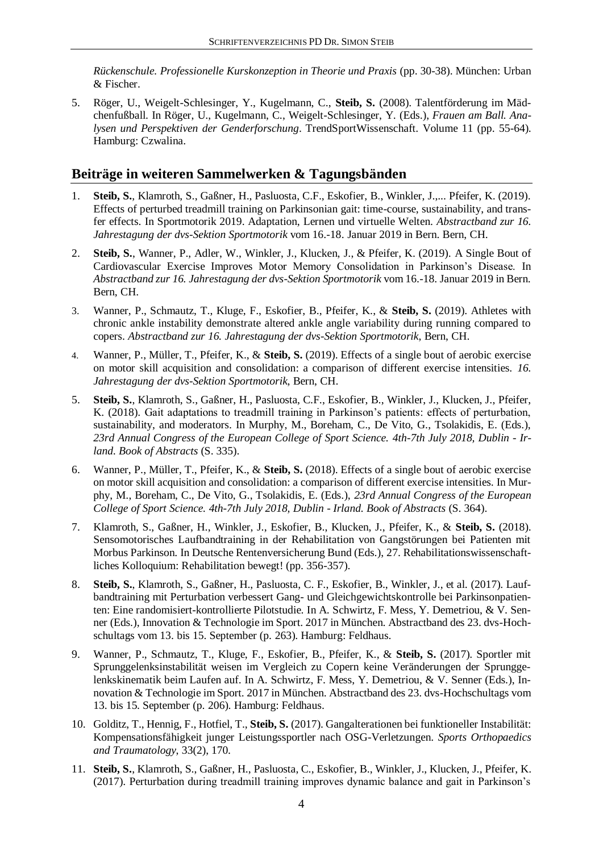*Rückenschule. Professionelle Kurskonzeption in Theorie und Praxis* (pp. 30-38). München: Urban & Fischer.

5. Röger, U., Weigelt-Schlesinger, Y., Kugelmann, C., **Steib, S.** (2008). Talentförderung im Mädchenfußball. In Röger, U., Kugelmann, C., Weigelt-Schlesinger, Y. (Eds.), *Frauen am Ball. Analysen und Perspektiven der Genderforschung*. TrendSportWissenschaft. Volume 11 (pp. 55-64). Hamburg: Czwalina.

# **Beiträge in weiteren Sammelwerken & Tagungsbänden**

- 1. **Steib, S.**, Klamroth, S., Gaßner, H., Pasluosta, C.F., Eskofier, B., Winkler, J.,... Pfeifer, K. (2019). Effects of perturbed treadmill training on Parkinsonian gait: time-course, sustainability, and transfer effects. In Sportmotorik 2019. Adaptation, Lernen und virtuelle Welten. *Abstractband zur 16. Jahrestagung der dvs-Sektion Sportmotorik* vom 16.-18. Januar 2019 in Bern. Bern, CH.
- 2. **Steib, S.**, Wanner, P., Adler, W., Winkler, J., Klucken, J., & Pfeifer, K. (2019). A Single Bout of Cardiovascular Exercise Improves Motor Memory Consolidation in Parkinson's Disease. In *Abstractband zur 16. Jahrestagung der dvs-Sektion Sportmotorik* vom 16.-18. Januar 2019 in Bern. Bern, CH.
- 3. Wanner, P., Schmautz, T., Kluge, F., Eskofier, B., Pfeifer, K., & **Steib, S.** (2019). Athletes with chronic ankle instability demonstrate altered ankle angle variability during running compared to copers. *Abstractband zur 16. Jahrestagung der dvs-Sektion Sportmotorik*, Bern, CH.
- 4. Wanner, P., Müller, T., Pfeifer, K., & **Steib, S.** (2019). Effects of a single bout of aerobic exercise on motor skill acquisition and consolidation: a comparison of different exercise intensities. *16. Jahrestagung der dvs-Sektion Sportmotorik*, Bern, CH.
- 5. **Steib, S.**, Klamroth, S., Gaßner, H., Pasluosta, C.F., Eskofier, B., Winkler, J., Klucken, J., Pfeifer, K. (2018). Gait adaptations to treadmill training in Parkinson's patients: effects of perturbation, sustainability, and moderators. In Murphy, M., Boreham, C., De Vito, G., Tsolakidis, E. (Eds.), *23rd Annual Congress of the European College of Sport Science. 4th-7th July 2018, Dublin - Irland. Book of Abstracts* (S. 335).
- 6. Wanner, P., Müller, T., Pfeifer, K., & **Steib, S.** (2018). Effects of a single bout of aerobic exercise on motor skill acquisition and consolidation: a comparison of different exercise intensities. In Murphy, M., Boreham, C., De Vito, G., Tsolakidis, E. (Eds.), *23rd Annual Congress of the European College of Sport Science. 4th-7th July 2018, Dublin - Irland. Book of Abstracts* (S. 364).
- 7. Klamroth, S., Gaßner, H., Winkler, J., Eskofier, B., Klucken, J., Pfeifer, K., & **Steib, S.** (2018). Sensomotorisches Laufbandtraining in der Rehabilitation von Gangstörungen bei Patienten mit Morbus Parkinson. In Deutsche Rentenversicherung Bund (Eds.), 27. Rehabilitationswissenschaftliches Kolloquium: Rehabilitation bewegt! (pp. 356-357).
- 8. **Steib, S.**, Klamroth, S., Gaßner, H., Pasluosta, C. F., Eskofier, B., Winkler, J., et al. (2017). Laufbandtraining mit Perturbation verbessert Gang- und Gleichgewichtskontrolle bei Parkinsonpatienten: Eine randomisiert-kontrollierte Pilotstudie. In A. Schwirtz, F. Mess, Y. Demetriou, & V. Senner (Eds.), Innovation & Technologie im Sport. 2017 in München. Abstractband des 23. dvs-Hochschultags vom 13. bis 15. September (p. 263). Hamburg: Feldhaus.
- 9. Wanner, P., Schmautz, T., Kluge, F., Eskofier, B., Pfeifer, K., & **Steib, S.** (2017). Sportler mit Sprunggelenksinstabilität weisen im Vergleich zu Copern keine Veränderungen der Sprunggelenkskinematik beim Laufen auf. In A. Schwirtz, F. Mess, Y. Demetriou, & V. Senner (Eds.), Innovation & Technologie im Sport. 2017 in München. Abstractband des 23. dvs-Hochschultags vom 13. bis 15. September (p. 206). Hamburg: Feldhaus.
- 10. Golditz, T., Hennig, F., Hotfiel, T., **Steib, S.** (2017). Gangalterationen bei funktioneller Instabilität: Kompensationsfähigkeit junger Leistungssportler nach OSG-Verletzungen. *Sports Orthopaedics and Traumatology*, 33(2), 170.
- 11. **Steib, S.**, Klamroth, S., Gaßner, H., Pasluosta, C., Eskofier, B., Winkler, J., Klucken, J., Pfeifer, K. (2017). Perturbation during treadmill training improves dynamic balance and gait in Parkinson's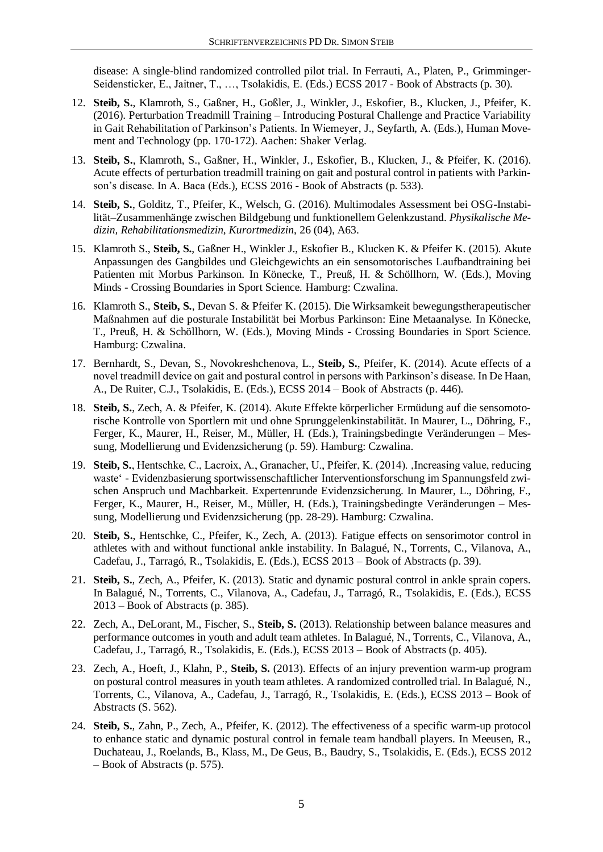disease: A single-blind randomized controlled pilot trial. In Ferrauti, A., Platen, P., Grimminger-Seidensticker, E., Jaitner, T., …, Tsolakidis, E. (Eds.) ECSS 2017 - Book of Abstracts (p. 30).

- 12. **Steib, S.**, Klamroth, S., Gaßner, H., Goßler, J., Winkler, J., Eskofier, B., Klucken, J., Pfeifer, K. (2016). Perturbation Treadmill Training – Introducing Postural Challenge and Practice Variability in Gait Rehabilitation of Parkinson's Patients. In Wiemeyer, J., Seyfarth, A. (Eds.), Human Movement and Technology (pp. 170-172). Aachen: Shaker Verlag.
- 13. **Steib, S.**, Klamroth, S., Gaßner, H., Winkler, J., Eskofier, B., Klucken, J., & Pfeifer, K. (2016). Acute effects of perturbation treadmill training on gait and postural control in patients with Parkinson's disease. In A. Baca (Eds.), ECSS 2016 - Book of Abstracts (p. 533).
- 14. **Steib, S.**, Golditz, T., Pfeifer, K., Welsch, G. (2016). Multimodales Assessment bei OSG-Instabilität–Zusammenhänge zwischen Bildgebung und funktionellem Gelenkzustand. *Physikalische Medizin, Rehabilitationsmedizin, Kurortmedizin*, 26 (04), A63.
- 15. Klamroth S., **Steib, S.**, Gaßner H., Winkler J., Eskofier B., Klucken K. & Pfeifer K. (2015). Akute Anpassungen des Gangbildes und Gleichgewichts an ein sensomotorisches Laufbandtraining bei Patienten mit Morbus Parkinson. In Könecke, T., Preuß, H. & Schöllhorn, W. (Eds.), Moving Minds - Crossing Boundaries in Sport Science. Hamburg: Czwalina.
- 16. Klamroth S., **Steib, S.**, Devan S. & Pfeifer K. (2015). Die Wirksamkeit bewegungstherapeutischer Maßnahmen auf die posturale Instabilität bei Morbus Parkinson: Eine Metaanalyse. In Könecke, T., Preuß, H. & Schöllhorn, W. (Eds.), Moving Minds - Crossing Boundaries in Sport Science. Hamburg: Czwalina.
- 17. Bernhardt, S., Devan, S., Novokreshchenova, L., **Steib, S.**, Pfeifer, K. (2014). Acute effects of a novel treadmill device on gait and postural control in persons with Parkinson's disease. In De Haan, A., De Ruiter, C.J., Tsolakidis, E. (Eds.), ECSS 2014 – Book of Abstracts (p. 446).
- 18. **Steib, S.**, Zech, A. & Pfeifer, K. (2014). Akute Effekte körperlicher Ermüdung auf die sensomotorische Kontrolle von Sportlern mit und ohne Sprunggelenkinstabilität. In Maurer, L., Döhring, F., Ferger, K., Maurer, H., Reiser, M., Müller, H. (Eds.), Trainingsbedingte Veränderungen – Messung, Modellierung und Evidenzsicherung (p. 59). Hamburg: Czwalina.
- 19. **Steib, S.**, Hentschke, C., Lacroix, A., Granacher, U., Pfeifer, K. (2014). 'Increasing value, reducing waste' - Evidenzbasierung sportwissenschaftlicher Interventionsforschung im Spannungsfeld zwischen Anspruch und Machbarkeit. Expertenrunde Evidenzsicherung. In Maurer, L., Döhring, F., Ferger, K., Maurer, H., Reiser, M., Müller, H. (Eds.), Trainingsbedingte Veränderungen – Messung, Modellierung und Evidenzsicherung (pp. 28-29). Hamburg: Czwalina.
- 20. **Steib, S.**, Hentschke, C., Pfeifer, K., Zech, A. (2013). Fatigue effects on sensorimotor control in athletes with and without functional ankle instability. In Balagué, N., Torrents, C., Vilanova, A., Cadefau, J., Tarragó, R., Tsolakidis, E. (Eds.), ECSS 2013 – Book of Abstracts (p. 39).
- 21. **Steib, S.**, Zech, A., Pfeifer, K. (2013). Static and dynamic postural control in ankle sprain copers. In Balagué, N., Torrents, C., Vilanova, A., Cadefau, J., Tarragó, R., Tsolakidis, E. (Eds.), ECSS 2013 – Book of Abstracts (p. 385).
- 22. Zech, A., DeLorant, M., Fischer, S., **Steib, S.** (2013). Relationship between balance measures and performance outcomes in youth and adult team athletes. In Balagué, N., Torrents, C., Vilanova, A., Cadefau, J., Tarragó, R., Tsolakidis, E. (Eds.), ECSS 2013 – Book of Abstracts (p. 405).
- 23. Zech, A., Hoeft, J., Klahn, P., **Steib, S.** (2013). Effects of an injury prevention warm-up program on postural control measures in youth team athletes. A randomized controlled trial. In Balagué, N., Torrents, C., Vilanova, A., Cadefau, J., Tarragó, R., Tsolakidis, E. (Eds.), ECSS 2013 – Book of Abstracts (S. 562).
- 24. **Steib, S.**, Zahn, P., Zech, A., Pfeifer, K. (2012). The effectiveness of a specific warm-up protocol to enhance static and dynamic postural control in female team handball players. In Meeusen, R., Duchateau, J., Roelands, B., Klass, M., De Geus, B., Baudry, S., Tsolakidis, E. (Eds.), ECSS 2012 – Book of Abstracts (p. 575).